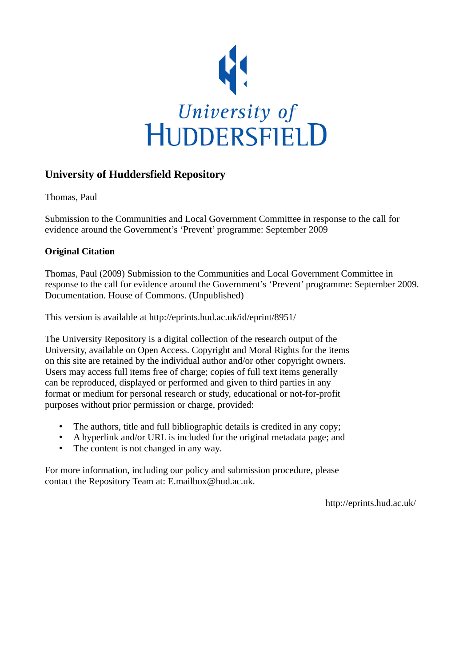

## **University of Huddersfield Repository**

Thomas, Paul

Submission to the Communities and Local Government Committee in response to the call for evidence around the Government's 'Prevent' programme: September 2009

## **Original Citation**

Thomas, Paul (2009) Submission to the Communities and Local Government Committee in response to the call for evidence around the Government's 'Prevent' programme: September 2009. Documentation. House of Commons. (Unpublished)

This version is available at http://eprints.hud.ac.uk/id/eprint/8951/

The University Repository is a digital collection of the research output of the University, available on Open Access. Copyright and Moral Rights for the items on this site are retained by the individual author and/or other copyright owners. Users may access full items free of charge; copies of full text items generally can be reproduced, displayed or performed and given to third parties in any format or medium for personal research or study, educational or not-for-profit purposes without prior permission or charge, provided:

- The authors, title and full bibliographic details is credited in any copy;
- A hyperlink and/or URL is included for the original metadata page; and
- The content is not changed in any way.

For more information, including our policy and submission procedure, please contact the Repository Team at: E.mailbox@hud.ac.uk.

http://eprints.hud.ac.uk/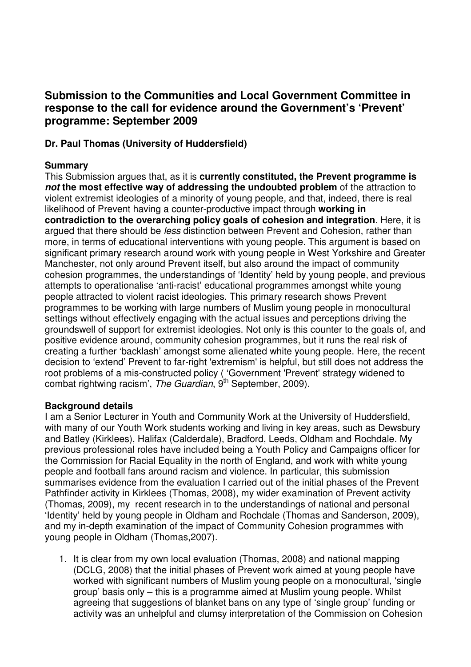# **Submission to the Communities and Local Government Committee in response to the call for evidence around the Government's 'Prevent' programme: September 2009**

## **Dr. Paul Thomas (University of Huddersfield)**

## **Summary**

This Submission argues that, as it is **currently constituted, the Prevent programme is not the most effective way of addressing the undoubted problem** of the attraction to violent extremist ideologies of a minority of young people, and that, indeed, there is real likelihood of Prevent having a counter-productive impact through **working in contradiction to the overarching policy goals of cohesion and integration**. Here, it is argued that there should be *less* distinction between Prevent and Cohesion, rather than more, in terms of educational interventions with young people. This argument is based on significant primary research around work with young people in West Yorkshire and Greater Manchester, not only around Prevent itself, but also around the impact of community cohesion programmes, the understandings of 'Identity' held by young people, and previous attempts to operationalise 'anti-racist' educational programmes amongst white young people attracted to violent racist ideologies. This primary research shows Prevent programmes to be working with large numbers of Muslim young people in monocultural settings without effectively engaging with the actual issues and perceptions driving the groundswell of support for extremist ideologies. Not only is this counter to the goals of, and positive evidence around, community cohesion programmes, but it runs the real risk of creating a further 'backlash' amongst some alienated white young people. Here, the recent decision to 'extend' Prevent to far-right 'extremism' is helpful, but still does not address the root problems of a mis-constructed policy ( 'Government 'Prevent' strategy widened to combat rightwing racism', The Guardian, 9<sup>th</sup> September, 2009).

## **Background details**

I am a Senior Lecturer in Youth and Community Work at the University of Huddersfield, with many of our Youth Work students working and living in key areas, such as Dewsbury and Batley (Kirklees), Halifax (Calderdale), Bradford, Leeds, Oldham and Rochdale. My previous professional roles have included being a Youth Policy and Campaigns officer for the Commission for Racial Equality in the north of England, and work with white young people and football fans around racism and violence. In particular, this submission summarises evidence from the evaluation I carried out of the initial phases of the Prevent Pathfinder activity in Kirklees (Thomas, 2008), my wider examination of Prevent activity (Thomas, 2009), my recent research in to the understandings of national and personal 'Identity' held by young people in Oldham and Rochdale (Thomas and Sanderson, 2009), and my in-depth examination of the impact of Community Cohesion programmes with young people in Oldham (Thomas,2007).

1. It is clear from my own local evaluation (Thomas, 2008) and national mapping (DCLG, 2008) that the initial phases of Prevent work aimed at young people have worked with significant numbers of Muslim young people on a monocultural, 'single group' basis only – this is a programme aimed at Muslim young people. Whilst agreeing that suggestions of blanket bans on any type of 'single group' funding or activity was an unhelpful and clumsy interpretation of the Commission on Cohesion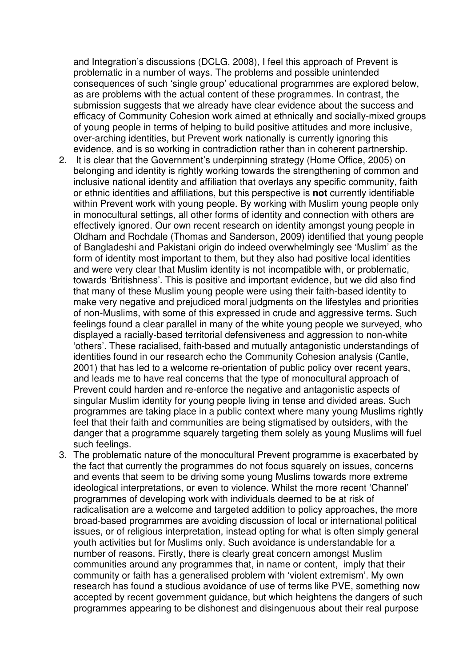and Integration's discussions (DCLG, 2008), I feel this approach of Prevent is problematic in a number of ways. The problems and possible unintended consequences of such 'single group' educational programmes are explored below, as are problems with the actual content of these programmes. In contrast, the submission suggests that we already have clear evidence about the success and efficacy of Community Cohesion work aimed at ethnically and socially-mixed groups of young people in terms of helping to build positive attitudes and more inclusive, over-arching identities, but Prevent work nationally is currently ignoring this evidence, and is so working in contradiction rather than in coherent partnership.

- 2. It is clear that the Government's underpinning strategy (Home Office, 2005) on belonging and identity is rightly working towards the strengthening of common and inclusive national identity and affiliation that overlays any specific community, faith or ethnic identities and affiliations, but this perspective is **not** currently identifiable within Prevent work with young people. By working with Muslim young people only in monocultural settings, all other forms of identity and connection with others are effectively ignored. Our own recent research on identity amongst young people in Oldham and Rochdale (Thomas and Sanderson, 2009) identified that young people of Bangladeshi and Pakistani origin do indeed overwhelmingly see 'Muslim' as the form of identity most important to them, but they also had positive local identities and were very clear that Muslim identity is not incompatible with, or problematic, towards 'Britishness'. This is positive and important evidence, but we did also find that many of these Muslim young people were using their faith-based identity to make very negative and prejudiced moral judgments on the lifestyles and priorities of non-Muslims, with some of this expressed in crude and aggressive terms. Such feelings found a clear parallel in many of the white young people we surveyed, who displayed a racially-based territorial defensiveness and aggression to non-white 'others'. These racialised, faith-based and mutually antagonistic understandings of identities found in our research echo the Community Cohesion analysis (Cantle, 2001) that has led to a welcome re-orientation of public policy over recent years, and leads me to have real concerns that the type of monocultural approach of Prevent could harden and re-enforce the negative and antagonistic aspects of singular Muslim identity for young people living in tense and divided areas. Such programmes are taking place in a public context where many young Muslims rightly feel that their faith and communities are being stigmatised by outsiders, with the danger that a programme squarely targeting them solely as young Muslims will fuel such feelings.
- 3. The problematic nature of the monocultural Prevent programme is exacerbated by the fact that currently the programmes do not focus squarely on issues, concerns and events that seem to be driving some young Muslims towards more extreme ideological interpretations, or even to violence. Whilst the more recent 'Channel' programmes of developing work with individuals deemed to be at risk of radicalisation are a welcome and targeted addition to policy approaches, the more broad-based programmes are avoiding discussion of local or international political issues, or of religious interpretation, instead opting for what is often simply general youth activities but for Muslims only. Such avoidance is understandable for a number of reasons. Firstly, there is clearly great concern amongst Muslim communities around any programmes that, in name or content, imply that their community or faith has a generalised problem with 'violent extremism'. My own research has found a studious avoidance of use of terms like PVE, something now accepted by recent government guidance, but which heightens the dangers of such programmes appearing to be dishonest and disingenuous about their real purpose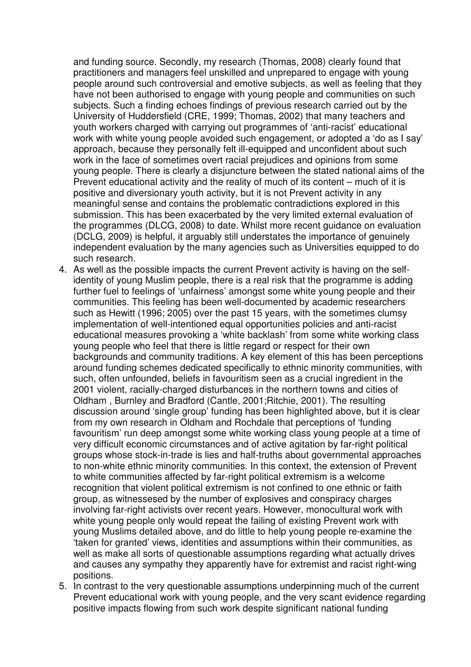and funding source. Secondly, my research (Thomas, 2008) clearly found that practitioners and managers feel unskilled and unprepared to engage with young people around such controversial and emotive subjects, as well as feeling that they have not been authorised to engage with young people and communities on such subjects. Such a finding echoes findings of previous research carried out by the University of Huddersfield (CRE, 1999; Thomas, 2002) that many teachers and youth workers charged with carrying out programmes of 'anti-racist' educational work with white young people avoided such engagement, or adopted a 'do as I say' approach, because they personally felt ill-equipped and unconfident about such work in the face of sometimes overt racial prejudices and opinions from some young people. There is clearly a disjuncture between the stated national aims of the Prevent educational activity and the reality of much of its content – much of it is positive and diversionary youth activity, but it is not Prevent activity in any meaningful sense and contains the problematic contradictions explored in this submission. This has been exacerbated by the very limited external evaluation of the programmes (DLCG, 2008) to date. Whilst more recent guidance on evaluation (DCLG, 2009) is helpful, it arguably still understates the importance of genuinely independent evaluation by the many agencies such as Universities equipped to do such research.

- 4. As well as the possible impacts the current Prevent activity is having on the selfidentity of young Muslim people, there is a real risk that the programme is adding further fuel to feelings of 'unfairness' amongst some white young people and their communities. This feeling has been well-documented by academic researchers such as Hewitt (1996; 2005) over the past 15 years, with the sometimes clumsy implementation of well-intentioned equal opportunities policies and anti-racist educational measures provoking a 'white backlash' from some white working class young people who feel that there is little regard or respect for their own backgrounds and community traditions. A key element of this has been perceptions around funding schemes dedicated specifically to ethnic minority communities, with such, often unfounded, beliefs in favouritism seen as a crucial ingredient in the 2001 violent, racially-charged disturbances in the northern towns and cities of Oldham , Burnley and Bradford (Cantle, 2001;Ritchie, 2001). The resulting discussion around 'single group' funding has been highlighted above, but it is clear from my own research in Oldham and Rochdale that perceptions of 'funding favouritism' run deep amongst some white working class young people at a time of very difficult economic circumstances and of active agitation by far-right political groups whose stock-in-trade is lies and half-truths about governmental approaches to non-white ethnic minority communities. In this context, the extension of Prevent to white communities affected by far-right political extremism is a welcome recognition that violent political extremism is not confined to one ethnic or faith group, as witnessesed by the number of explosives and conspiracy charges involving far-right activists over recent years. However, monocultural work with white young people only would repeat the failing of existing Prevent work with young Muslims detailed above, and do little to help young people re-examine the 'taken for granted' views, identities and assumptions within their communities, as well as make all sorts of questionable assumptions regarding what actually drives and causes any sympathy they apparently have for extremist and racist right-wing positions.
- 5. In contrast to the very questionable assumptions underpinning much of the current Prevent educational work with young people, and the very scant evidence regarding positive impacts flowing from such work despite significant national funding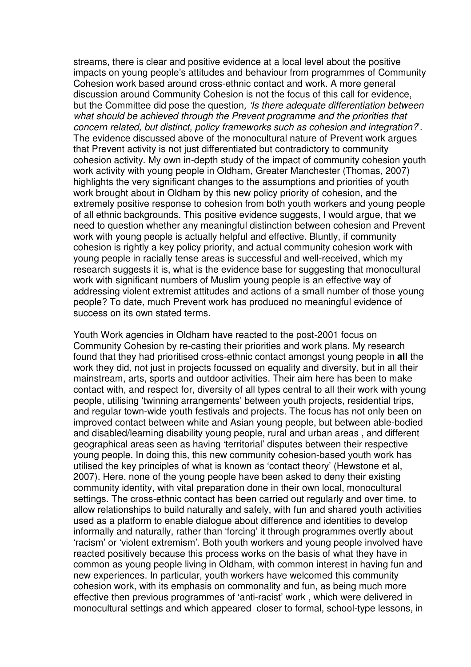streams, there is clear and positive evidence at a local level about the positive impacts on young people's attitudes and behaviour from programmes of Community Cohesion work based around cross-ethnic contact and work. A more general discussion around Community Cohesion is not the focus of this call for evidence, but the Committee did pose the question, 'Is there adequate differentiation between what should be achieved through the Prevent programme and the priorities that concern related, but distinct, policy frameworks such as cohesion and integration?'. The evidence discussed above of the monocultural nature of Prevent work argues that Prevent activity is not just differentiated but contradictory to community cohesion activity. My own in-depth study of the impact of community cohesion youth work activity with young people in Oldham, Greater Manchester (Thomas, 2007) highlights the very significant changes to the assumptions and priorities of youth work brought about in Oldham by this new policy priority of cohesion, and the extremely positive response to cohesion from both youth workers and young people of all ethnic backgrounds. This positive evidence suggests, I would argue, that we need to question whether any meaningful distinction between cohesion and Prevent work with young people is actually helpful and effective. Bluntly, if community cohesion is rightly a key policy priority, and actual community cohesion work with young people in racially tense areas is successful and well-received, which my research suggests it is, what is the evidence base for suggesting that monocultural work with significant numbers of Muslim young people is an effective way of addressing violent extremist attitudes and actions of a small number of those young people? To date, much Prevent work has produced no meaningful evidence of success on its own stated terms.

Youth Work agencies in Oldham have reacted to the post-2001 focus on Community Cohesion by re-casting their priorities and work plans. My research found that they had prioritised cross-ethnic contact amongst young people in **all** the work they did, not just in projects focussed on equality and diversity, but in all their mainstream, arts, sports and outdoor activities. Their aim here has been to make contact with, and respect for, diversity of all types central to all their work with young people, utilising 'twinning arrangements' between youth projects, residential trips, and regular town-wide youth festivals and projects. The focus has not only been on improved contact between white and Asian young people, but between able-bodied and disabled/learning disability young people, rural and urban areas , and different geographical areas seen as having 'territorial' disputes between their respective young people. In doing this, this new community cohesion-based youth work has utilised the key principles of what is known as 'contact theory' (Hewstone et al, 2007). Here, none of the young people have been asked to deny their existing community identity, with vital preparation done in their own local, monocultural settings. The cross-ethnic contact has been carried out regularly and over time, to allow relationships to build naturally and safely, with fun and shared youth activities used as a platform to enable dialogue about difference and identities to develop informally and naturally, rather than 'forcing' it through programmes overtly about 'racism' or 'violent extremism'. Both youth workers and young people involved have reacted positively because this process works on the basis of what they have in common as young people living in Oldham, with common interest in having fun and new experiences. In particular, youth workers have welcomed this community cohesion work, with its emphasis on commonality and fun, as being much more effective then previous programmes of 'anti-racist' work , which were delivered in monocultural settings and which appeared closer to formal, school-type lessons, in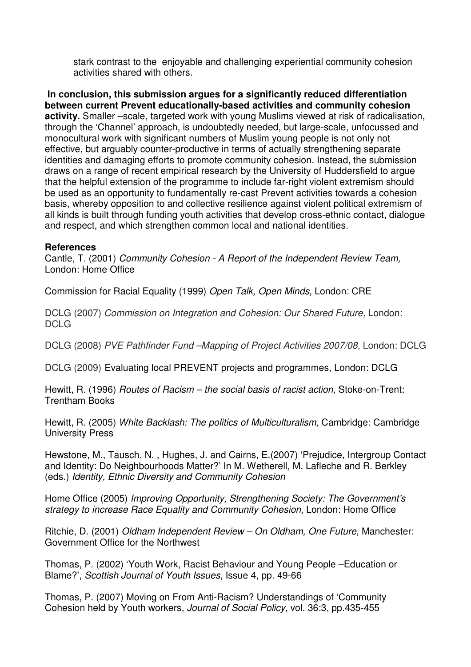stark contrast to the enjoyable and challenging experiential community cohesion activities shared with others.

**In conclusion, this submission argues for a significantly reduced differentiation between current Prevent educationally-based activities and community cohesion activity.** Smaller –scale, targeted work with young Muslims viewed at risk of radicalisation, through the 'Channel' approach, is undoubtedly needed, but large-scale, unfocussed and monocultural work with significant numbers of Muslim young people is not only not effective, but arguably counter-productive in terms of actually strengthening separate identities and damaging efforts to promote community cohesion. Instead, the submission draws on a range of recent empirical research by the University of Huddersfield to argue that the helpful extension of the programme to include far-right violent extremism should be used as an opportunity to fundamentally re-cast Prevent activities towards a cohesion basis, whereby opposition to and collective resilience against violent political extremism of all kinds is built through funding youth activities that develop cross-ethnic contact, dialogue and respect, and which strengthen common local and national identities.

## **References**

Cantle, T. (2001) Community Cohesion - A Report of the Independent Review Team, London: Home Office

Commission for Racial Equality (1999) Open Talk, Open Minds, London: CRE

DCLG (2007) Commission on Integration and Cohesion: Our Shared Future, London: DCLG

DCLG (2008) PVE Pathfinder Fund –Mapping of Project Activities 2007/08, London: DCLG

DCLG (2009) Evaluating local PREVENT projects and programmes, London: DCLG

Hewitt, R. (1996) Routes of Racism – the social basis of racist action, Stoke-on-Trent: Trentham Books

Hewitt, R. (2005) White Backlash: The politics of Multiculturalism, Cambridge: Cambridge University Press

Hewstone, M., Tausch, N. , Hughes, J. and Cairns, E.(2007) 'Prejudice, Intergroup Contact and Identity: Do Neighbourhoods Matter?' In M. Wetherell, M. Lafleche and R. Berkley (eds.) Identity, Ethnic Diversity and Community Cohesion

Home Office (2005) Improving Opportunity, Strengthening Society: The Government's strategy to increase Race Equality and Community Cohesion, London: Home Office

Ritchie, D. (2001) Oldham Independent Review – On Oldham, One Future, Manchester: Government Office for the Northwest

Thomas, P. (2002) 'Youth Work, Racist Behaviour and Young People –Education or Blame?', Scottish Journal of Youth Issues, Issue 4, pp. 49-66

Thomas, P. (2007) Moving on From Anti-Racism? Understandings of 'Community Cohesion held by Youth workers, Journal of Social Policy, vol. 36:3, pp.435-455